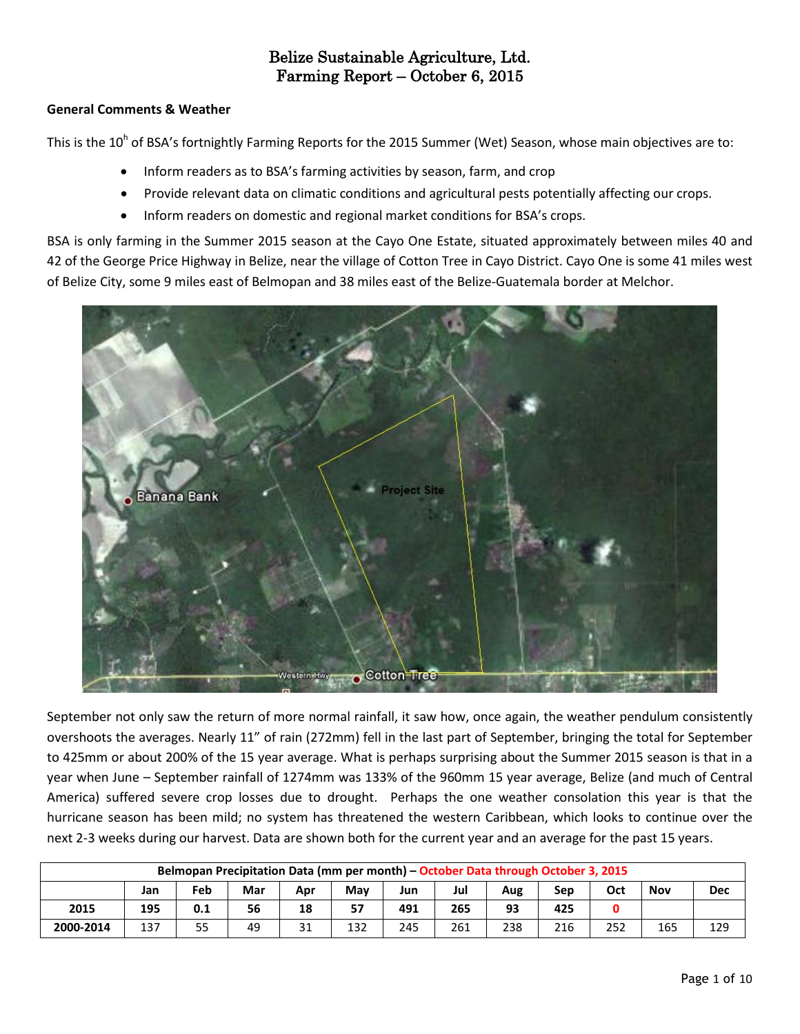#### **General Comments & Weather**

This is the 10<sup>h</sup> of BSA's fortnightly Farming Reports for the 2015 Summer (Wet) Season, whose main objectives are to:

- Inform readers as to BSA's farming activities by season, farm, and crop
- Provide relevant data on climatic conditions and agricultural pests potentially affecting our crops.
- Inform readers on domestic and regional market conditions for BSA's crops.

BSA is only farming in the Summer 2015 season at the Cayo One Estate, situated approximately between miles 40 and 42 of the George Price Highway in Belize, near the village of Cotton Tree in Cayo District. Cayo One is some 41 miles west of Belize City, some 9 miles east of Belmopan and 38 miles east of the Belize-Guatemala border at Melchor.



September not only saw the return of more normal rainfall, it saw how, once again, the weather pendulum consistently overshoots the averages. Nearly 11" of rain (272mm) fell in the last part of September, bringing the total for September to 425mm or about 200% of the 15 year average. What is perhaps surprising about the Summer 2015 season is that in a year when June – September rainfall of 1274mm was 133% of the 960mm 15 year average, Belize (and much of Central America) suffered severe crop losses due to drought. Perhaps the one weather consolation this year is that the hurricane season has been mild; no system has threatened the western Caribbean, which looks to continue over the next 2-3 weeks during our harvest. Data are shown both for the current year and an average for the past 15 years.

| Belmopan Precipitation Data (mm per month) – October Data through October 3, 2015 |     |     |     |     |     |     |     |     |     |     |            |            |  |
|-----------------------------------------------------------------------------------|-----|-----|-----|-----|-----|-----|-----|-----|-----|-----|------------|------------|--|
|                                                                                   | Jan | Feb | Mar | Apr | Mav | Jun | Jul | Aug | Sep | Oct | <b>Nov</b> | <b>Dec</b> |  |
| 2015                                                                              | 195 | 0.1 | 56  | 18  | 57  | 491 | 265 | 93  | 425 |     |            |            |  |
| 2000-2014                                                                         | 137 | 55  | 49  | 31  | 132 | 245 | 261 | 238 | 216 | 252 | 165        | 129        |  |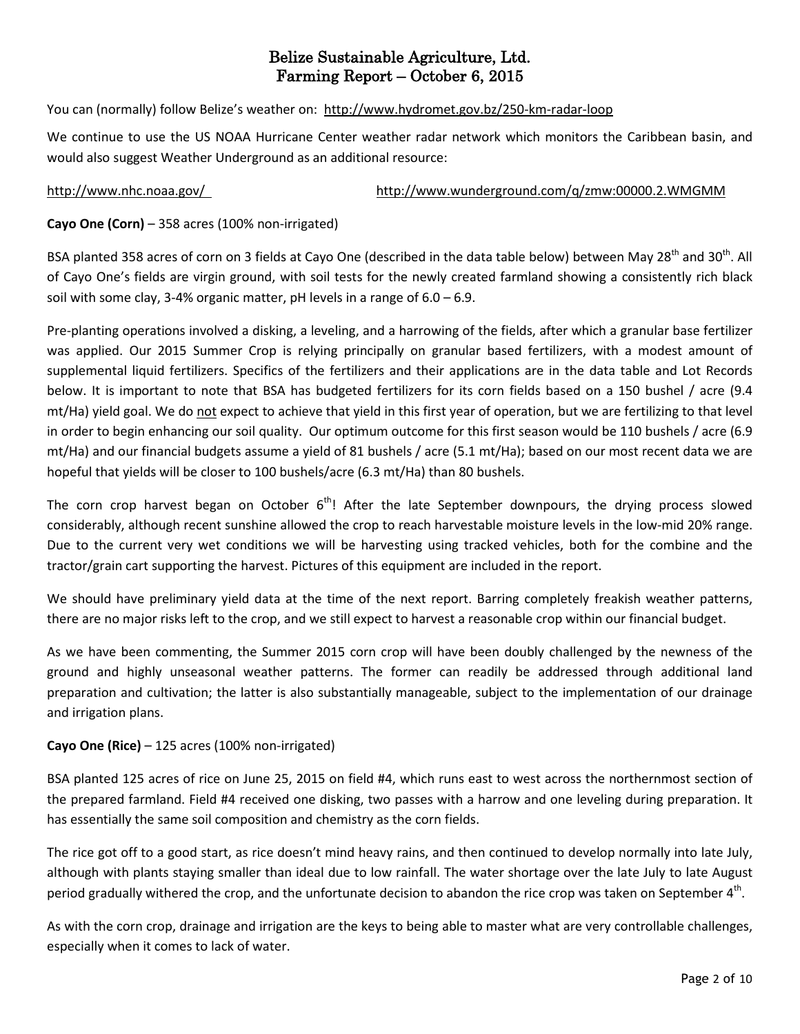You can (normally) follow Belize's weather on: <http://www.hydromet.gov.bz/250-km-radar-loop>

We continue to use the US NOAA Hurricane Center weather radar network which monitors the Caribbean basin, and would also suggest Weather Underground as an additional resource:

#### <http://www.nhc.noaa.gov/><http://www.wunderground.com/q/zmw:00000.2.WMGMM>

**Cayo One (Corn)** – 358 acres (100% non-irrigated)

BSA planted 358 acres of corn on 3 fields at Cayo One (described in the data table below) between May 28<sup>th</sup> and 30<sup>th</sup>. All of Cayo One's fields are virgin ground, with soil tests for the newly created farmland showing a consistently rich black soil with some clay, 3-4% organic matter, pH levels in a range of  $6.0 - 6.9$ .

Pre-planting operations involved a disking, a leveling, and a harrowing of the fields, after which a granular base fertilizer was applied. Our 2015 Summer Crop is relying principally on granular based fertilizers, with a modest amount of supplemental liquid fertilizers. Specifics of the fertilizers and their applications are in the data table and Lot Records below. It is important to note that BSA has budgeted fertilizers for its corn fields based on a 150 bushel / acre (9.4 mt/Ha) yield goal. We do not expect to achieve that yield in this first year of operation, but we are fertilizing to that level in order to begin enhancing our soil quality. Our optimum outcome for this first season would be 110 bushels / acre (6.9 mt/Ha) and our financial budgets assume a yield of 81 bushels / acre (5.1 mt/Ha); based on our most recent data we are hopeful that yields will be closer to 100 bushels/acre (6.3 mt/Ha) than 80 bushels.

The corn crop harvest began on October 6<sup>th</sup>! After the late September downpours, the drying process slowed considerably, although recent sunshine allowed the crop to reach harvestable moisture levels in the low-mid 20% range. Due to the current very wet conditions we will be harvesting using tracked vehicles, both for the combine and the tractor/grain cart supporting the harvest. Pictures of this equipment are included in the report.

We should have preliminary yield data at the time of the next report. Barring completely freakish weather patterns, there are no major risks left to the crop, and we still expect to harvest a reasonable crop within our financial budget.

As we have been commenting, the Summer 2015 corn crop will have been doubly challenged by the newness of the ground and highly unseasonal weather patterns. The former can readily be addressed through additional land preparation and cultivation; the latter is also substantially manageable, subject to the implementation of our drainage and irrigation plans.

#### **Cayo One (Rice)** – 125 acres (100% non-irrigated)

BSA planted 125 acres of rice on June 25, 2015 on field #4, which runs east to west across the northernmost section of the prepared farmland. Field #4 received one disking, two passes with a harrow and one leveling during preparation. It has essentially the same soil composition and chemistry as the corn fields.

The rice got off to a good start, as rice doesn't mind heavy rains, and then continued to develop normally into late July, although with plants staying smaller than ideal due to low rainfall. The water shortage over the late July to late August period gradually withered the crop, and the unfortunate decision to abandon the rice crop was taken on September 4<sup>th</sup>.

As with the corn crop, drainage and irrigation are the keys to being able to master what are very controllable challenges, especially when it comes to lack of water.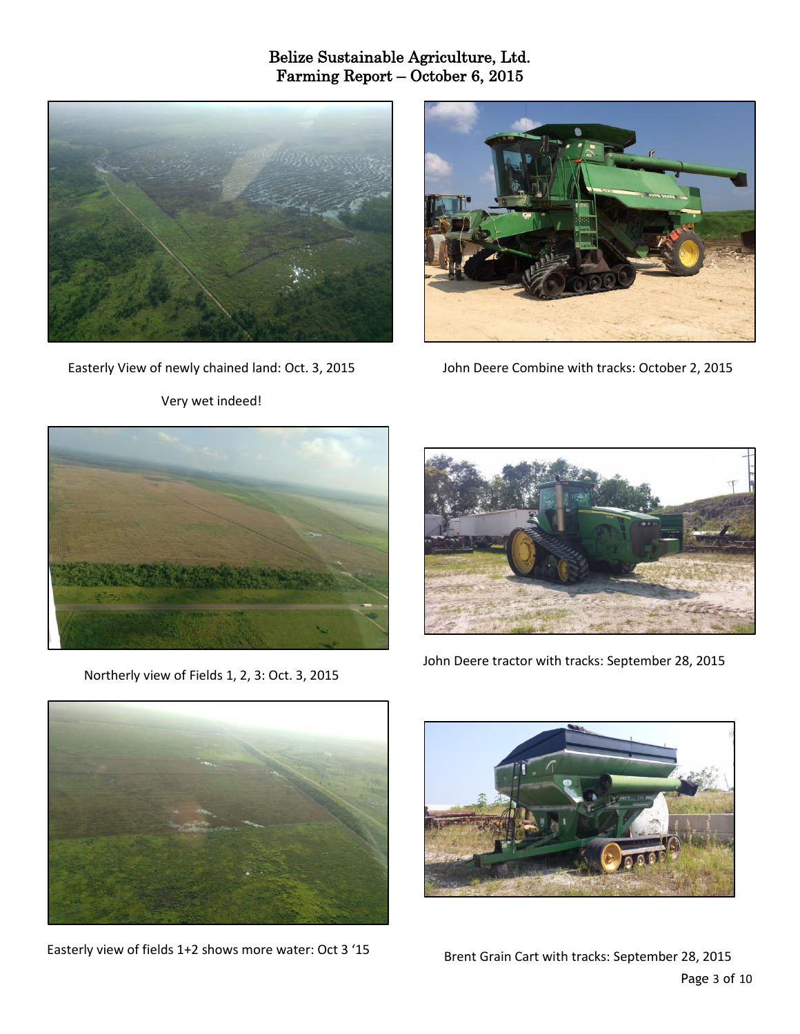

Easterly View of newly chained land: Oct. 3, 2015

Very wet indeed!



John Deere Combine with tracks: October 2, 2015



Northerly view of Fields 1, 2, 3: Oct. 3, 2015



John Deere tractor with tracks: September 28, 2015



Easterly view of fields 1+2 shows more water: Oct 3 '15



Brent Grain Cart with tracks: September 28, 2015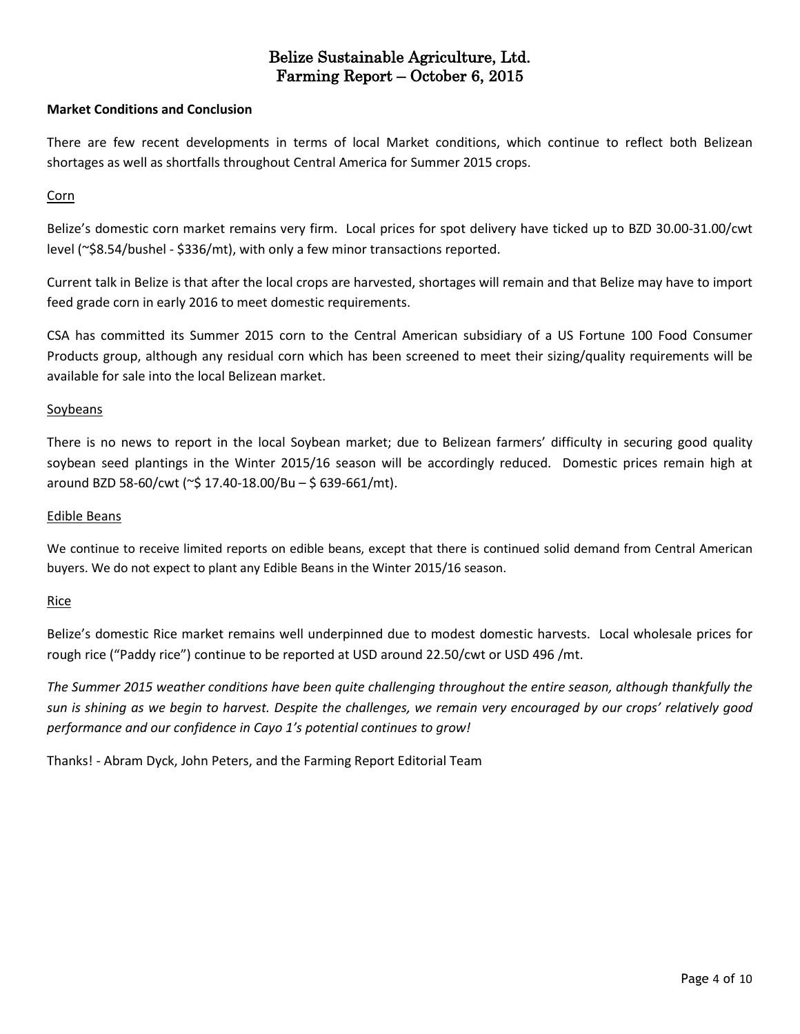#### **Market Conditions and Conclusion**

There are few recent developments in terms of local Market conditions, which continue to reflect both Belizean shortages as well as shortfalls throughout Central America for Summer 2015 crops.

#### Corn

Belize's domestic corn market remains very firm. Local prices for spot delivery have ticked up to BZD 30.00-31.00/cwt level (~\$8.54/bushel - \$336/mt), with only a few minor transactions reported.

Current talk in Belize is that after the local crops are harvested, shortages will remain and that Belize may have to import feed grade corn in early 2016 to meet domestic requirements.

CSA has committed its Summer 2015 corn to the Central American subsidiary of a US Fortune 100 Food Consumer Products group, although any residual corn which has been screened to meet their sizing/quality requirements will be available for sale into the local Belizean market.

#### Soybeans

There is no news to report in the local Soybean market; due to Belizean farmers' difficulty in securing good quality soybean seed plantings in the Winter 2015/16 season will be accordingly reduced. Domestic prices remain high at around BZD 58-60/cwt (~\$ 17.40-18.00/Bu – \$ 639-661/mt).

#### Edible Beans

We continue to receive limited reports on edible beans, except that there is continued solid demand from Central American buyers. We do not expect to plant any Edible Beans in the Winter 2015/16 season.

### Rice

Belize's domestic Rice market remains well underpinned due to modest domestic harvests. Local wholesale prices for rough rice ("Paddy rice") continue to be reported at USD around 22.50/cwt or USD 496 /mt.

The Summer 2015 weather conditions have been quite challenging throughout the entire season, although thankfully the sun is shining as we begin to harvest. Despite the challenges, we remain very encouraged by our crops' relatively good *performance and our confidence in Cayo 1's potential continues to grow!*

Thanks! - Abram Dyck, John Peters, and the Farming Report Editorial Team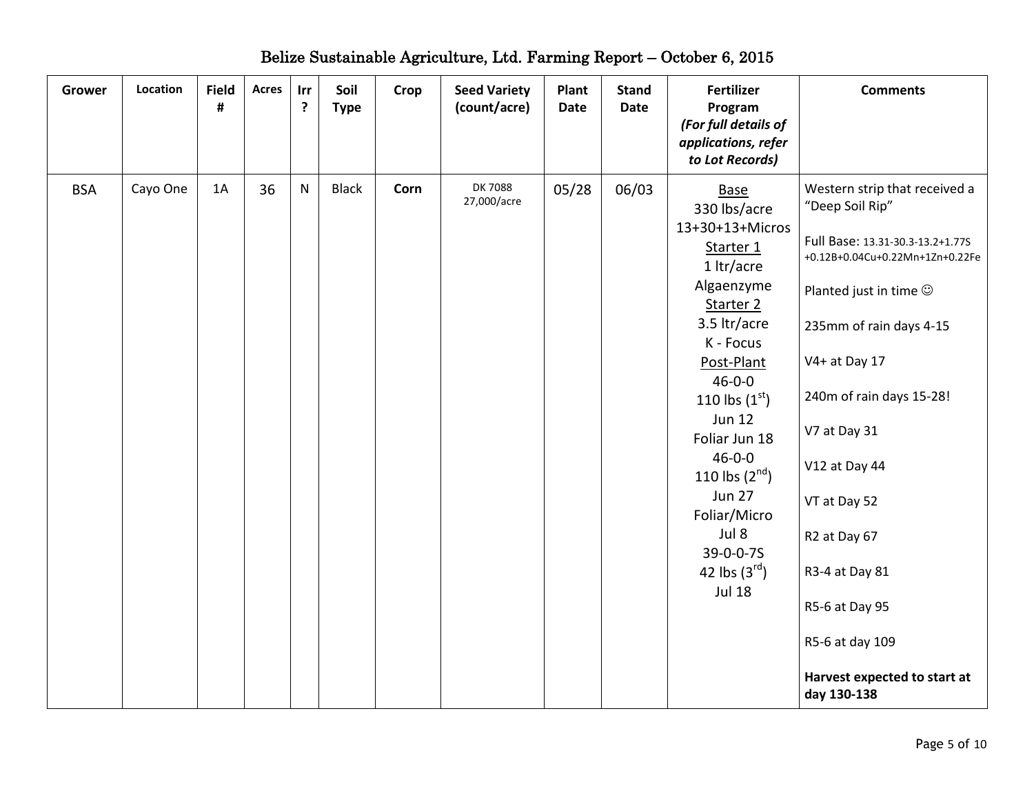| ?<br>(count/acre)<br>#<br>Program<br><b>Type</b><br>Date<br><b>Date</b><br>(For full details of<br>applications, refer<br>to Lot Records)                                                                                                                                                                                                                                                                                                                                                      |                                                                                                                                                                                                                                                                                                                                                                                                        |
|------------------------------------------------------------------------------------------------------------------------------------------------------------------------------------------------------------------------------------------------------------------------------------------------------------------------------------------------------------------------------------------------------------------------------------------------------------------------------------------------|--------------------------------------------------------------------------------------------------------------------------------------------------------------------------------------------------------------------------------------------------------------------------------------------------------------------------------------------------------------------------------------------------------|
| <b>DK7088</b><br>Cayo One<br><b>Black</b><br>05/28<br>06/03<br><b>BSA</b><br>1A<br>36<br>$\mathsf{N}$<br>Corn<br><b>Base</b><br>27,000/acre<br>330 lbs/acre<br>13+30+13+Micros<br>Starter 1<br>1 ltr/acre<br>Algaenzyme<br>Starter 2<br>3.5 ltr/acre<br>K - Focus<br>Post-Plant<br>$46 - 0 - 0$<br>110 lbs $(1^{\rm st})$<br><b>Jun 12</b><br>Foliar Jun 18<br>$46 - 0 - 0$<br>110 lbs $(2^{nd})$<br><b>Jun 27</b><br>Foliar/Micro<br>Jul 8<br>39-0-0-7S<br>42 lbs $(3^{rd})$<br><b>Jul 18</b> | Western strip that received a<br>"Deep Soil Rip"<br>Full Base: 13.31-30.3-13.2+1.77S<br>+0.12B+0.04Cu+0.22Mn+1Zn+0.22Fe<br>Planted just in time $\odot$<br>235mm of rain days 4-15<br>V4+ at Day 17<br>240m of rain days 15-28!<br>V7 at Day 31<br>V12 at Day 44<br>VT at Day 52<br>R2 at Day 67<br>R3-4 at Day 81<br>R5-6 at Day 95<br>R5-6 at day 109<br>Harvest expected to start at<br>day 130-138 |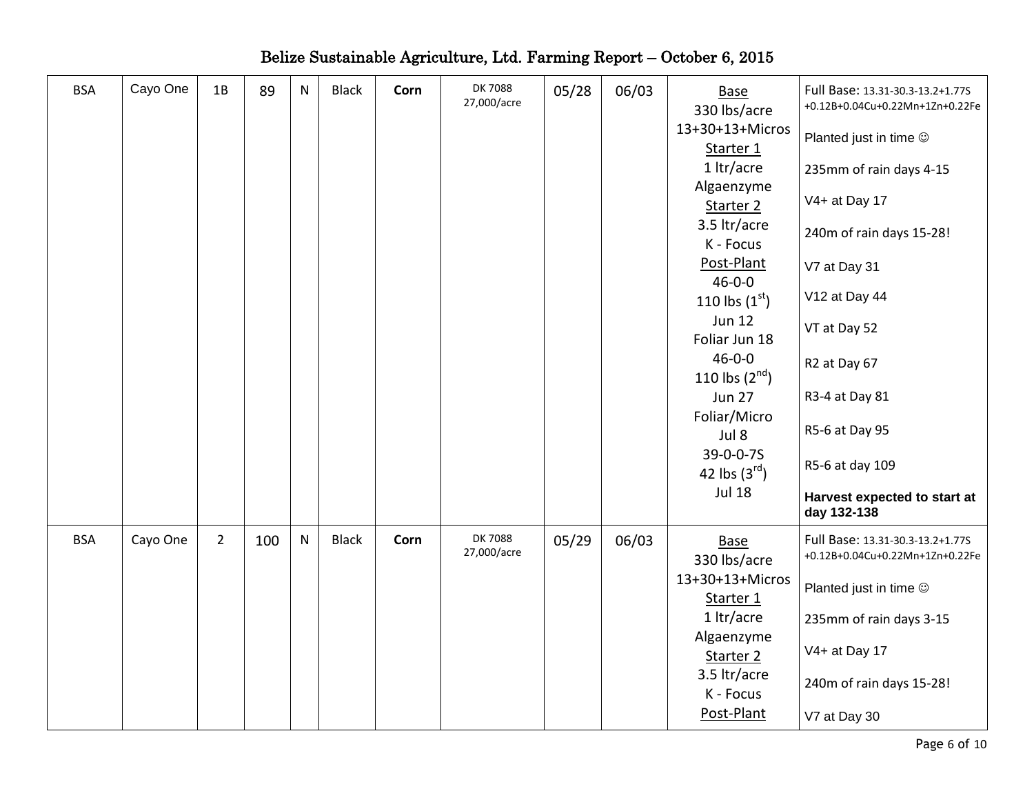| <b>BSA</b> | Cayo One | 1B             | 89  | $\mathsf{N}$ | <b>Black</b> | Corn | <b>DK7088</b><br>27,000/acre | 05/28 | 06/03 | <b>Base</b><br>330 lbs/acre        | Full Base: 13.31-30.3-13.2+1.77S<br>+0.12B+0.04Cu+0.22Mn+1Zn+0.22Fe |
|------------|----------|----------------|-----|--------------|--------------|------|------------------------------|-------|-------|------------------------------------|---------------------------------------------------------------------|
|            |          |                |     |              |              |      |                              |       |       | 13+30+13+Micros<br>Starter 1       | Planted just in time ©                                              |
|            |          |                |     |              |              |      |                              |       |       | 1 ltr/acre                         | 235mm of rain days 4-15                                             |
|            |          |                |     |              |              |      |                              |       |       | Algaenzyme<br>Starter 2            | V4+ at Day 17                                                       |
|            |          |                |     |              |              |      |                              |       |       | 3.5 ltr/acre<br>K - Focus          | 240m of rain days 15-28!                                            |
|            |          |                |     |              |              |      |                              |       |       | Post-Plant<br>$46 - 0 - 0$         | V7 at Day 31                                                        |
|            |          |                |     |              |              |      |                              |       |       | 110 lbs $(1^{st})$                 | V12 at Day 44                                                       |
|            |          |                |     |              |              |      |                              |       |       | <b>Jun 12</b><br>Foliar Jun 18     | VT at Day 52                                                        |
|            |          |                |     |              |              |      |                              |       |       | $46 - 0 - 0$<br>110 lbs $(2^{nd})$ | R2 at Day 67                                                        |
|            |          |                |     |              |              |      |                              |       |       | <b>Jun 27</b>                      | R3-4 at Day 81                                                      |
|            |          |                |     |              |              |      |                              |       |       | Foliar/Micro<br>Jul 8              | R5-6 at Day 95                                                      |
|            |          |                |     |              |              |      |                              |       |       | 39-0-0-7S<br>42 lbs $(3^{rd})$     | R5-6 at day 109                                                     |
|            |          |                |     |              |              |      |                              |       |       | <b>Jul 18</b>                      | Harvest expected to start at<br>day 132-138                         |
| <b>BSA</b> | Cayo One | $\overline{2}$ | 100 | $\mathsf{N}$ | <b>Black</b> | Corn | <b>DK7088</b><br>27,000/acre | 05/29 | 06/03 | <b>Base</b><br>330 lbs/acre        | Full Base: 13.31-30.3-13.2+1.77S<br>+0.12B+0.04Cu+0.22Mn+1Zn+0.22Fe |
|            |          |                |     |              |              |      |                              |       |       | 13+30+13+Micros<br>Starter 1       | Planted just in time ©                                              |
|            |          |                |     |              |              |      |                              |       |       | 1 ltr/acre                         | 235mm of rain days 3-15                                             |
|            |          |                |     |              |              |      |                              |       |       | Algaenzyme                         | V4+ at Day 17                                                       |
|            |          |                |     |              |              |      |                              |       |       | Starter 2<br>3.5 ltr/acre          |                                                                     |
|            |          |                |     |              |              |      |                              |       |       | K - Focus                          | 240m of rain days 15-28!                                            |
|            |          |                |     |              |              |      |                              |       |       | Post-Plant                         | V7 at Day 30                                                        |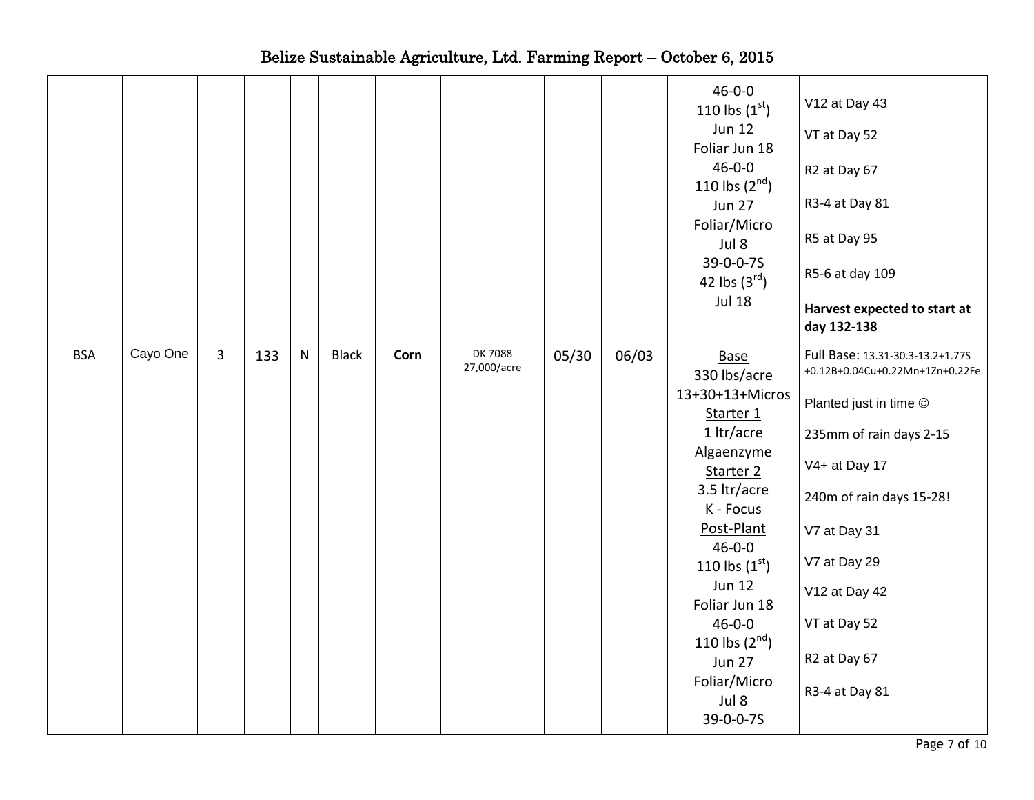|            |          |                |     |              |              |      |                              |       |       | $46 - 0 - 0$<br>110 lbs $(1^{st})$<br><b>Jun 12</b><br>Foliar Jun 18<br>$46 - 0 - 0$<br>110 lbs $(2^{nd})$<br><b>Jun 27</b><br>Foliar/Micro<br>Jul 8<br>39-0-0-7S<br>42 lbs $(3^{rd})$<br><b>Jul 18</b>                                                                                                              | V12 at Day 43<br>VT at Day 52<br>R2 at Day 67<br>R3-4 at Day 81<br>R5 at Day 95<br>R5-6 at day 109<br>Harvest expected to start at<br>day 132-138                                                                                                                        |
|------------|----------|----------------|-----|--------------|--------------|------|------------------------------|-------|-------|----------------------------------------------------------------------------------------------------------------------------------------------------------------------------------------------------------------------------------------------------------------------------------------------------------------------|--------------------------------------------------------------------------------------------------------------------------------------------------------------------------------------------------------------------------------------------------------------------------|
| <b>BSA</b> | Cayo One | $\overline{3}$ | 133 | $\mathsf{N}$ | <b>Black</b> | Corn | <b>DK7088</b><br>27,000/acre | 05/30 | 06/03 | <b>Base</b><br>330 lbs/acre<br>13+30+13+Micros<br>Starter 1<br>1 ltr/acre<br>Algaenzyme<br>Starter 2<br>3.5 ltr/acre<br>K - Focus<br>Post-Plant<br>$46 - 0 - 0$<br>110 lbs $(1^{st})$<br><b>Jun 12</b><br>Foliar Jun 18<br>$46 - 0 - 0$<br>110 lbs $(2^{nd})$<br><b>Jun 27</b><br>Foliar/Micro<br>Jul 8<br>39-0-0-7S | Full Base: 13.31-30.3-13.2+1.77S<br>+0.12B+0.04Cu+0.22Mn+1Zn+0.22Fe<br>Planted just in time ©<br>235mm of rain days 2-15<br>V4+ at Day 17<br>240m of rain days 15-28!<br>V7 at Day 31<br>V7 at Day 29<br>V12 at Day 42<br>VT at Day 52<br>R2 at Day 67<br>R3-4 at Day 81 |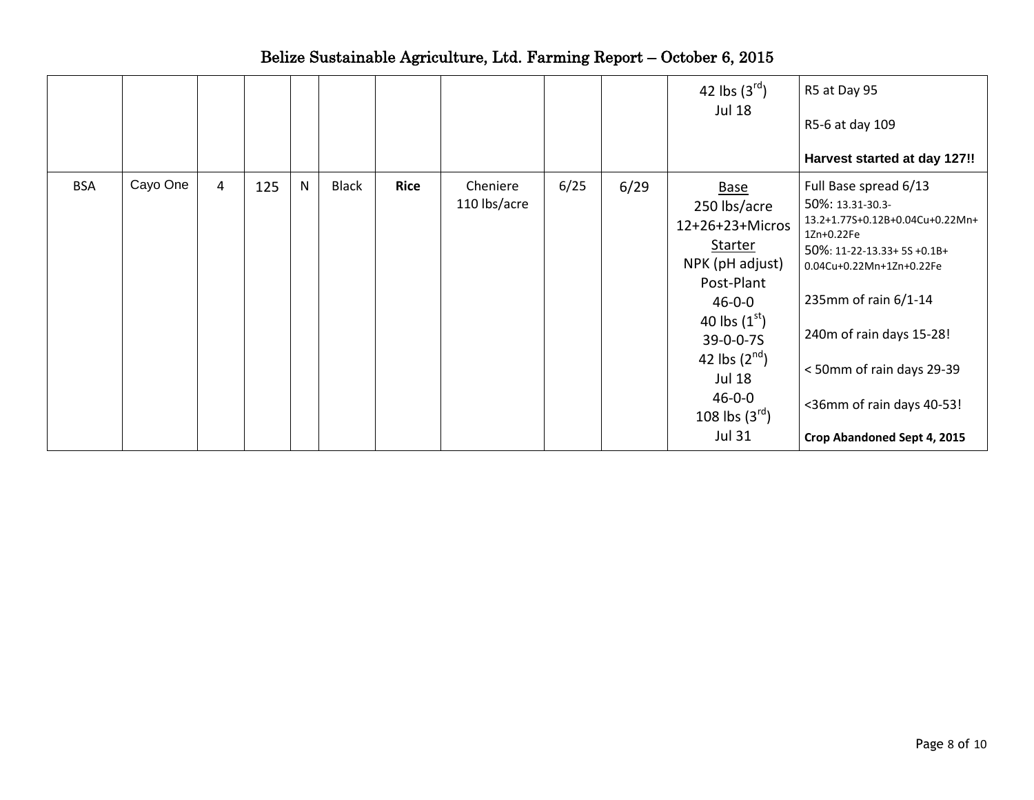| Belize Sustainable Agriculture, Ltd. Farming Report – October 6, 2015 |  |  |  |  |
|-----------------------------------------------------------------------|--|--|--|--|
|-----------------------------------------------------------------------|--|--|--|--|

|            |          |   |     |   |              |             |                          |      |      | 42 lbs $(3^{rd})$<br><b>Jul 18</b>                                                                                                               | R5 at Day 95                                                                                                                                                                                              |
|------------|----------|---|-----|---|--------------|-------------|--------------------------|------|------|--------------------------------------------------------------------------------------------------------------------------------------------------|-----------------------------------------------------------------------------------------------------------------------------------------------------------------------------------------------------------|
|            |          |   |     |   |              |             |                          |      |      |                                                                                                                                                  | R5-6 at day 109                                                                                                                                                                                           |
|            |          |   |     |   |              |             |                          |      |      |                                                                                                                                                  | Harvest started at day 127!!                                                                                                                                                                              |
| <b>BSA</b> | Cayo One | 4 | 125 | N | <b>Black</b> | <b>Rice</b> | Cheniere<br>110 lbs/acre | 6/25 | 6/29 | <b>Base</b><br>250 lbs/acre<br>12+26+23+Micros<br><b>Starter</b><br>NPK (pH adjust)<br>Post-Plant<br>$46 - 0 - 0$<br>40 lbs $(1st)$<br>39-0-0-7S | Full Base spread 6/13<br>50%: 13.31-30.3-<br>13.2+1.77S+0.12B+0.04Cu+0.22Mn+<br>1Zn+0.22Fe<br>50%: 11-22-13.33+ 5S +0.1B+<br>0.04Cu+0.22Mn+1Zn+0.22Fe<br>235mm of rain 6/1-14<br>240m of rain days 15-28! |
|            |          |   |     |   |              |             |                          |      |      | 42 lbs $(2^{nd})$<br><b>Jul 18</b>                                                                                                               | <50mm of rain days 29-39                                                                                                                                                                                  |
|            |          |   |     |   |              |             |                          |      |      | $46 - 0 - 0$<br>108 lbs $(3^{rd})$                                                                                                               | <36mm of rain days 40-53!                                                                                                                                                                                 |
|            |          |   |     |   |              |             |                          |      |      | <b>Jul 31</b>                                                                                                                                    | Crop Abandoned Sept 4, 2015                                                                                                                                                                               |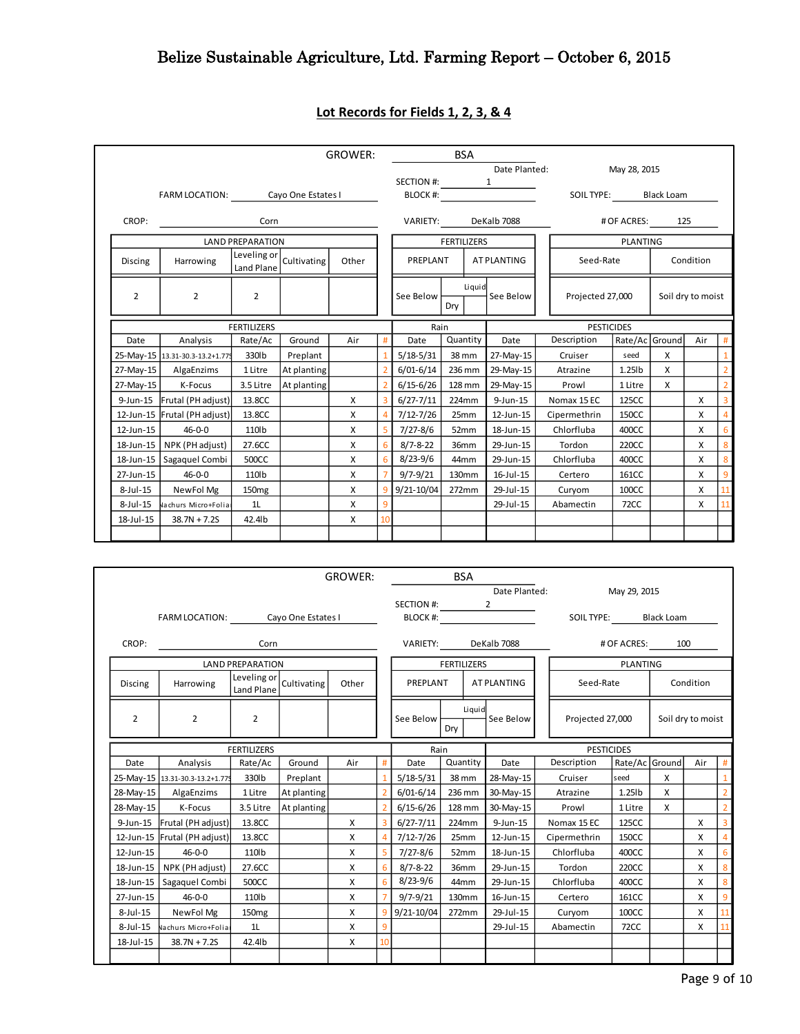|                |                                                                |                         |                    | <b>GROWER:</b> |    |                         | <b>BSA</b>         |                |                  |                                        |                   |           |                |  |
|----------------|----------------------------------------------------------------|-------------------------|--------------------|----------------|----|-------------------------|--------------------|----------------|------------------|----------------------------------------|-------------------|-----------|----------------|--|
|                |                                                                |                         |                    |                |    |                         |                    | Date Planted:  |                  | May 28, 2015                           |                   |           |                |  |
|                |                                                                |                         |                    |                |    | SECTION #:              |                    | 1              |                  |                                        |                   |           |                |  |
|                | <b>FARM LOCATION:</b>                                          |                         | Cayo One Estates I |                |    | <b>BLOCK #:</b>         |                    |                |                  | <b>SOIL TYPE:</b><br><b>Black Loam</b> |                   |           |                |  |
| CROP:          |                                                                | Corn                    |                    |                |    | <b>VARIETY:</b>         |                    | DeKalb 7088    |                  | # OF ACRES:                            | 125               |           |                |  |
|                |                                                                | <b>LAND PREPARATION</b> |                    |                |    |                         | <b>FERTILIZERS</b> |                |                  | <b>PLANTING</b>                        |                   |           |                |  |
| <b>Discing</b> | Leveling or<br>Cultivating<br>Other<br>Harrowing<br>Land Plane |                         |                    |                |    | AT PLANTING<br>PREPLANT |                    |                | Seed-Rate        |                                        |                   | Condition |                |  |
| 2              | $\overline{2}$                                                 | 2                       |                    |                |    | See Below               | Liquid<br>Drv      | See Below      | Projected 27,000 |                                        | Soil dry to moist |           |                |  |
|                | <b>FERTILIZERS</b>                                             |                         |                    |                |    |                         | Rain               |                |                  | <b>PESTICIDES</b>                      |                   |           |                |  |
| Date           | Analysis                                                       | Rate/Ac                 | Ground             | Air            | #  | Date                    | Quantity           | Date           | Description      | Rate/Ac Ground                         |                   | Air       | #              |  |
|                | 25-May-15 13.31-30.3-13.2+1.779                                | 330lb                   | Preplant           |                |    | $5/18-5/31$             | 38 mm              | 27-May-15      | Cruiser          | seed                                   | X                 |           |                |  |
| 27-May-15      | AlgaEnzims                                                     | 1 Litre                 | At planting        |                |    | $6/01 - 6/14$           | 236 mm             | 29-May-15      | Atrazine         | $1.25$ lb                              | X                 |           | $\overline{2}$ |  |
| 27-May-15      | K-Focus                                                        | 3.5 Litre               | At planting        |                |    | $6/15 - 6/26$           | 128 mm             | 29-May-15      | Prowl            | 1 Litre                                | X                 |           | $\overline{2}$ |  |
| $9$ -Jun-15    | Frutal (PH adjust)                                             | 13.8CC                  |                    | X              | 3  | $6/27 - 7/11$           | 224mm              | $9 - Jun - 15$ | Nomax 15 EC      | 125CC                                  |                   | X         | $\overline{3}$ |  |
|                | 12-Jun-15 Frutal (PH adjust)                                   | 13.8CC                  |                    | X              |    | $7/12 - 7/26$           | 25mm               | 12-Jun-15      | Cipermethrin     | 150CC                                  |                   | X         | 4              |  |
| 12-Jun-15      | $46 - 0 - 0$                                                   | 110lb                   |                    | X              | 5  | $7/27 - 8/6$            | 52mm               | 18-Jun-15      | Chlorfluba       | 400CC                                  |                   | X         | 6              |  |
| 18-Jun-15      | NPK (PH adjust)                                                | 27.6CC                  |                    | X              | 6  | $8/7 - 8 - 22$          | 36mm               | 29-Jun-15      | Tordon           | 220CC                                  |                   | x         | 8              |  |
| 18-Jun-15      | Sagaquel Combi                                                 | 500CC                   |                    | X              | 6  | $8/23 - 9/6$            | 44mm               | 29-Jun-15      | Chlorfluba       | 400CC                                  |                   | x         | 8              |  |
| 27-Jun-15      | $46 - 0 - 0$                                                   | 110lb                   |                    | X              |    | $9/7 - 9/21$            | 130mm              | 16-Jul-15      | Certero          | 161CC                                  |                   | X         | $\overline{9}$ |  |
| $8$ -Jul-15    | NewFol Mg                                                      | 150 <sub>mg</sub>       |                    | X              |    | $9/21 - 10/04$          | 272mm              | 29-Jul-15      | Curyom           | 100CC                                  |                   | X         | 11             |  |
| $8$ -Jul-15    | Vachurs Micro+Folia                                            | 1L                      |                    | X              | 9  |                         |                    | 29-Jul-15      | Abamectin        | <b>72CC</b>                            |                   | X         | 11             |  |
| 18-Jul-15      | $38.7N + 7.2S$                                                 | 42.4lb                  |                    | X              | 10 |                         |                    |                |                  |                                        |                   |           |                |  |
|                |                                                                |                         |                    |                |    |                         |                    |                |                  |                                        |                   |           |                |  |

# **Lot Records for Fields 1, 2, 3, & 4**

|             |                                 |                           |                    | <b>GROWER:</b> |      |                    | <b>BSA</b>                 |               |                   |                   |                 |                   |           |                |
|-------------|---------------------------------|---------------------------|--------------------|----------------|------|--------------------|----------------------------|---------------|-------------------|-------------------|-----------------|-------------------|-----------|----------------|
|             |                                 |                           |                    |                |      |                    |                            | Date Planted: |                   |                   | May 29, 2015    |                   |           |                |
|             |                                 |                           |                    |                |      | SECTION #:         |                            | 2             |                   |                   |                 |                   |           |                |
|             | <b>FARM LOCATION:</b>           |                           | Cayo One Estates I |                |      | <b>BLOCK #:</b>    |                            |               |                   | <b>SOIL TYPE:</b> |                 | <b>Black Loam</b> |           |                |
| CROP:       |                                 | Corn                      |                    |                |      | <b>VARIETY:</b>    |                            | DeKalb 7088   |                   |                   | # OF ACRES:     | 100               |           |                |
|             |                                 | <b>LAND PREPARATION</b>   |                    |                |      | <b>FERTILIZERS</b> |                            |               |                   |                   | <b>PLANTING</b> |                   |           |                |
| Discing     | Harrowing                       | Leveling or<br>Land Plane | Cultivating        | Other          |      | PREPLANT           |                            | AT PLANTING   |                   | Seed-Rate         |                 |                   | Condition |                |
| 2           | $\overline{2}$                  | $\overline{2}$            |                    |                |      | See Below          | Liquid<br>See Below<br>Dry |               | Projected 27,000  |                   |                 | Soil dry to moist |           |                |
|             |                                 | <b>FERTILIZERS</b>        |                    |                | Rain |                    |                            |               | <b>PESTICIDES</b> |                   |                 |                   |           |                |
| Date        | Analysis                        | Rate/Ac                   | Ground             | Air            | #    | Date               | Quantity                   | Date          |                   | Description       | Rate/Ac Ground  |                   | Air       | #              |
|             | 25-May-15 13.31-30.3-13.2+1.779 | 330lb                     | Preplant           |                |      | $5/18-5/31$        | 38 mm                      | 28-May-15     |                   | Cruiser           | seed            | X                 |           | $\mathbf{1}$   |
| 28-May-15   | AlgaEnzims                      | 1 Litre                   | At planting        |                |      | $6/01 - 6/14$      | 236 mm                     | 30-May-15     |                   | Atrazine          | $1.25$ lb       | X                 |           | $\overline{2}$ |
| 28-May-15   | K-Focus                         | 3.5 Litre                 | At planting        |                |      | $6/15 - 6/26$      | 128 mm                     | 30-May-15     |                   | Prowl             | 1 Litre         | X                 |           | $\overline{2}$ |
|             | 9-Jun-15 Frutal (PH adjust)     | 13.8CC                    |                    | Χ              |      | $6/27 - 7/11$      | 224mm                      | $9$ -Jun-15   |                   | Nomax 15 EC       | 125CC           |                   | X         | $\overline{3}$ |
|             | 12-Jun-15 Frutal (PH adjust)    | 13.8CC                    |                    | X              |      | $7/12 - 7/26$      | 25mm                       | 12-Jun-15     |                   | Cipermethrin      | 150CC           |                   | X         | 4              |
| 12-Jun-15   | $46 - 0 - 0$                    | 110lb                     |                    | X              |      | $7/27 - 8/6$       | 52mm                       | 18-Jun-15     |                   | Chlorfluba        | 400CC           |                   | X         | 6              |
| 18-Jun-15   | NPK (PH adjust)                 | 27.6CC                    |                    | x              | 6    | $8/7 - 8 - 22$     | 36mm                       | 29-Jun-15     |                   | Tordon            | 220CC           |                   | X         | 8              |
| 18-Jun-15   | Sagaquel Combi                  | 500CC                     |                    | X              | 6    | $8/23 - 9/6$       | 44mm                       | 29-Jun-15     |                   | Chlorfluba        | 400CC           |                   | X         | 8              |
| 27-Jun-15   | $46 - 0 - 0$                    | 110lb                     |                    | X              |      | $9/7 - 9/21$       | 130mm                      | 16-Jun-15     |                   | Certero           | 161CC           |                   | X         | $\overline{9}$ |
| $8$ -Jul-15 | NewFol Mg                       | 150 <sub>mg</sub>         |                    | x              |      | $9/21 - 10/04$     | 272mm                      | 29-Jul-15     |                   | Curyom            | 100CC           |                   | X         | 11             |
| $8$ -Jul-15 | Vachurs Micro+Folia             | 1L                        |                    | X              | 9    |                    |                            | 29-Jul-15     |                   | Abamectin         | 72CC            |                   | X         | 11             |
| 18-Jul-15   | $38.7N + 7.2S$                  | 42.4lb                    |                    | X              | 10   |                    |                            |               |                   |                   |                 |                   |           |                |
|             |                                 |                           |                    |                |      |                    |                            |               |                   |                   |                 |                   |           |                |